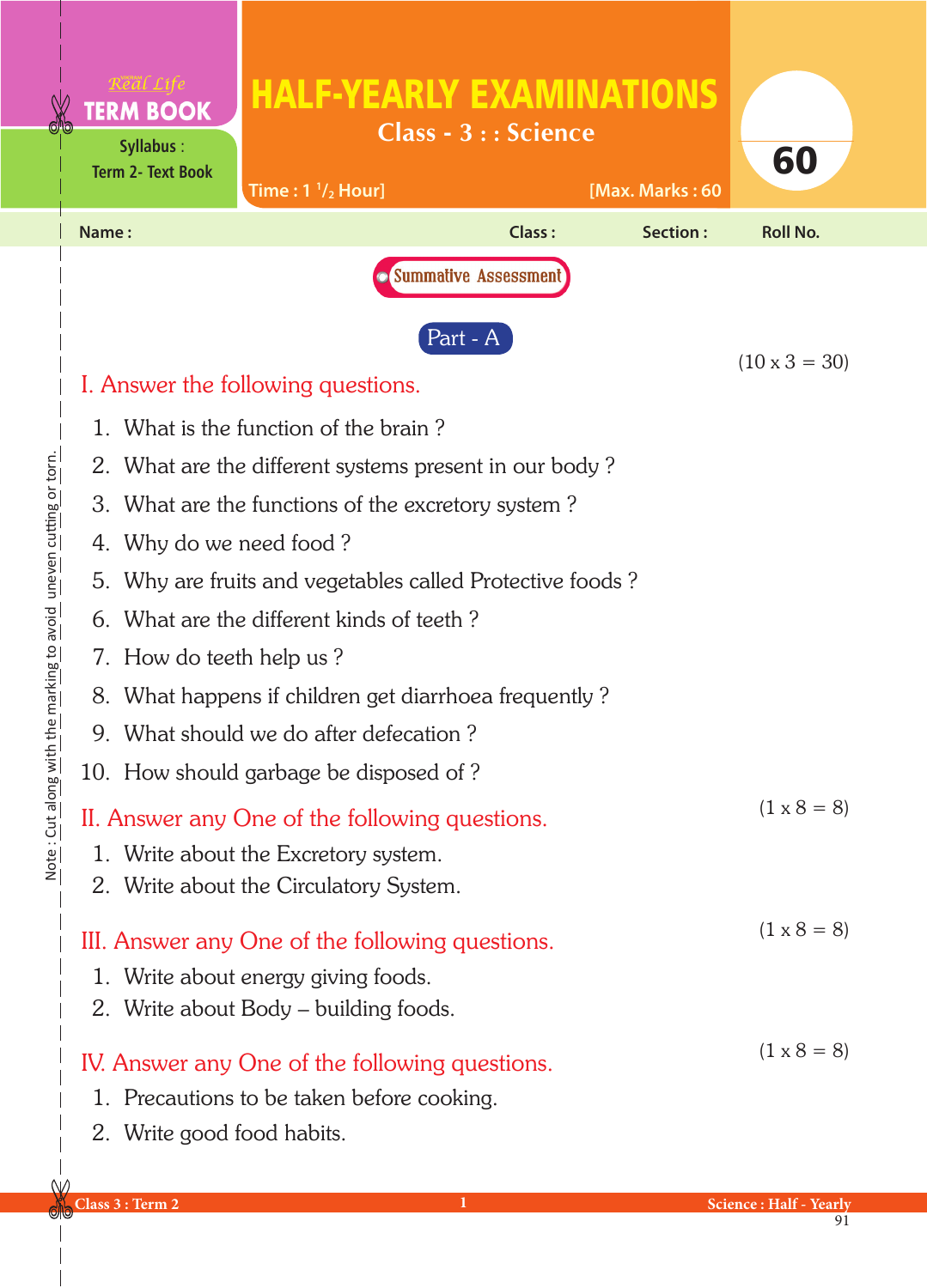|                                                                      |                                                                                                                                                                                                                                                                                                                                                                                                                                                                                                                                                                                                                               | <b>TERM BOOK</b><br><b>Syllabus:</b><br><b>Term 2- Text Book</b> | <b>HALF-YEARLY EXAMINATIONS</b><br>Time: $1 \frac{1}{2}$ Hour] | Class - 3 : : Science | [Max. Marks: 60 | 60              |
|----------------------------------------------------------------------|-------------------------------------------------------------------------------------------------------------------------------------------------------------------------------------------------------------------------------------------------------------------------------------------------------------------------------------------------------------------------------------------------------------------------------------------------------------------------------------------------------------------------------------------------------------------------------------------------------------------------------|------------------------------------------------------------------|----------------------------------------------------------------|-----------------------|-----------------|-----------------|
|                                                                      | Name:                                                                                                                                                                                                                                                                                                                                                                                                                                                                                                                                                                                                                         |                                                                  |                                                                | <b>Class:</b>         | Section:        | <b>Roll No.</b> |
|                                                                      |                                                                                                                                                                                                                                                                                                                                                                                                                                                                                                                                                                                                                               | I. Answer the following questions.                               | $(10 \times 3 = 30)$                                           |                       |                 |                 |
| the marking to avoid uneven cutting or torn.<br>Note: Cut along with | 1. What is the function of the brain?<br>2. What are the different systems present in our body?<br>3. What are the functions of the excretory system?<br>4. Why do we need food?<br>5. Why are fruits and vegetables called Protective foods?<br>6. What are the different kinds of teeth?<br>7. How do teeth help us?<br>8. What happens if children get diarrhoea frequently?<br>9. What should we do after defecation?<br>10. How should garbage be disposed of?<br>$(1 \times 8 = 8)$<br>II. Answer any One of the following questions.<br>1. Write about the Excretory system.<br>2. Write about the Circulatory System. |                                                                  |                                                                |                       |                 |                 |
|                                                                      | $(1 \times 8 = 8)$<br>III. Answer any One of the following questions.<br>1. Write about energy giving foods.<br>2. Write about Body - building foods.<br>$(1 \times 8 = 8)$<br>IV. Answer any One of the following questions.<br>1. Precautions to be taken before cooking.                                                                                                                                                                                                                                                                                                                                                   |                                                                  |                                                                |                       |                 |                 |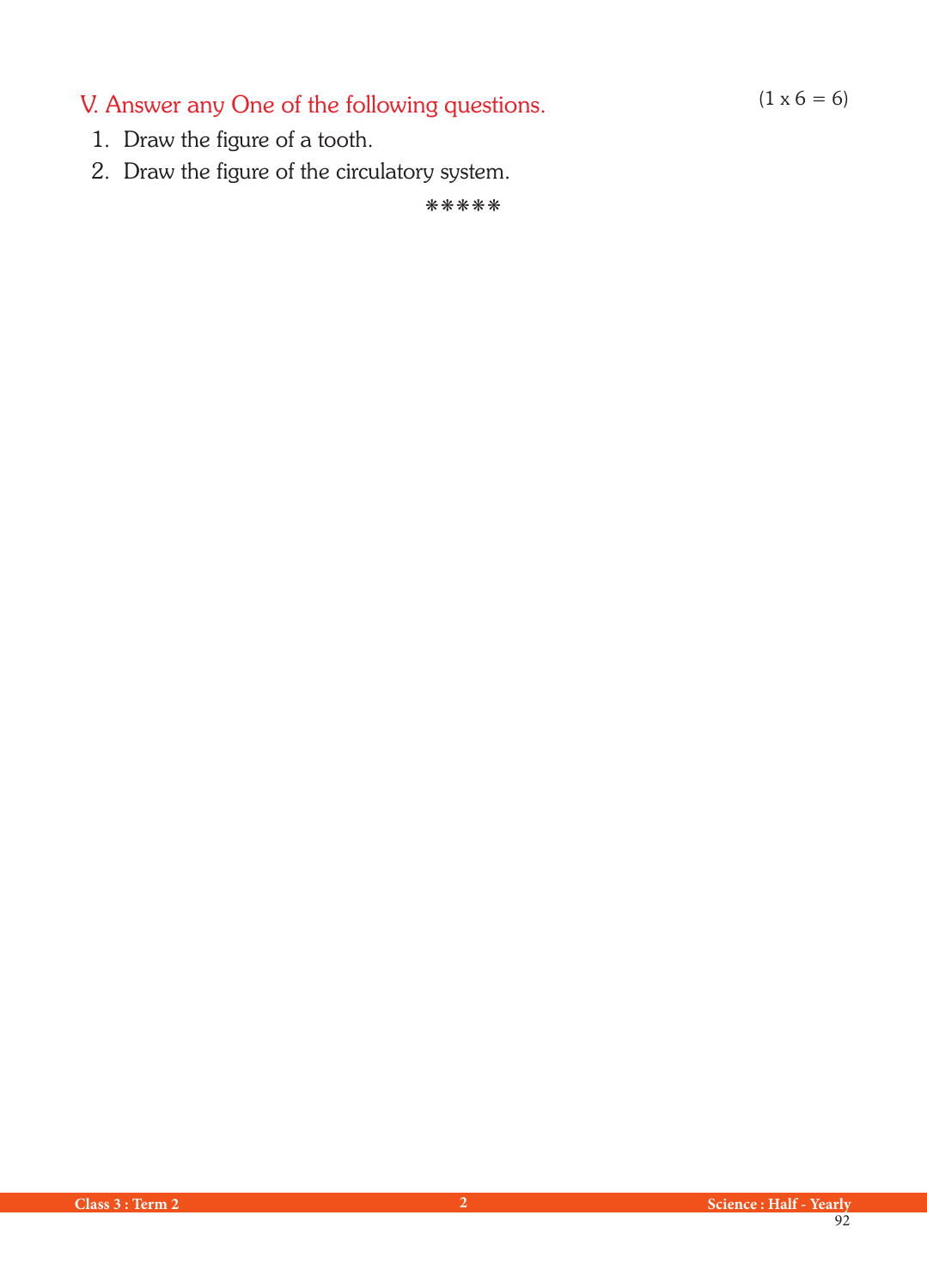V. Answer any One of the following questions.  $(1 \times 6 = 6)$ 

- 1. Draw the figure of a tooth.
- 2. Draw the figure of the circulatory system.

kkkkk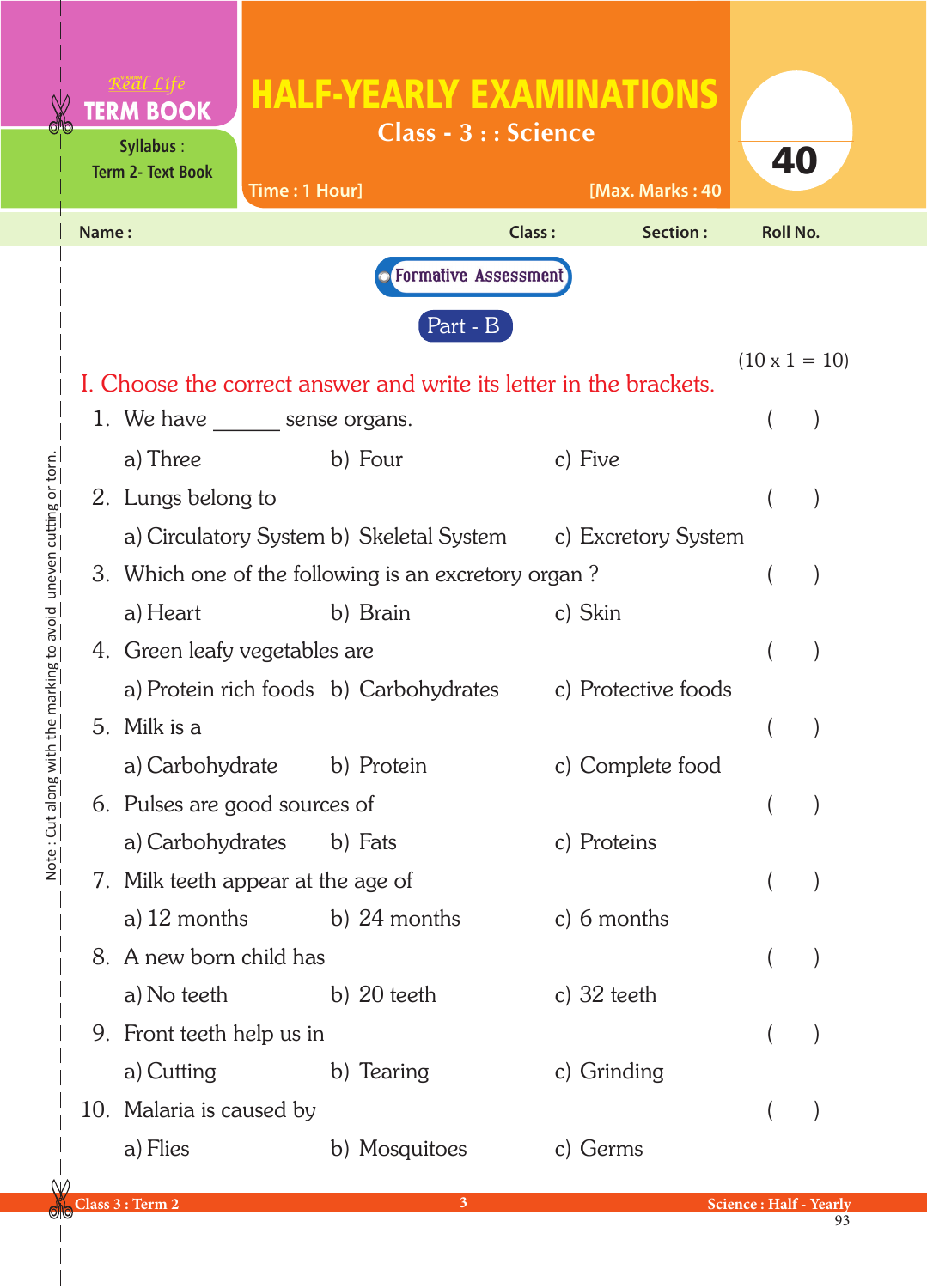|                                                      |       | <b>TERM BOOK</b><br><b>Syllabus:</b><br><b>Term 2- Text Book</b> | <b>HALF-YEARLY EXAMINATIONS</b><br>Time: 1 Hour]                   | <b>Class - 3 : : Science</b>  | [Max. Marks: 40  | 40                   |  |
|------------------------------------------------------|-------|------------------------------------------------------------------|--------------------------------------------------------------------|-------------------------------|------------------|----------------------|--|
|                                                      | Name: |                                                                  |                                                                    | Class:                        | Section:         | <b>Roll No.</b>      |  |
|                                                      |       |                                                                  |                                                                    | <b>• Formative Assessment</b> |                  |                      |  |
|                                                      |       |                                                                  | Part - B                                                           |                               |                  |                      |  |
|                                                      |       |                                                                  |                                                                    |                               |                  | $(10 \times 1 = 10)$ |  |
|                                                      |       |                                                                  | I. Choose the correct answer and write its letter in the brackets. |                               |                  |                      |  |
|                                                      |       | 1. We have <u>equal</u> sense organs.                            | b) Four                                                            | c) Five                       |                  |                      |  |
| <u>nie marking to avoid "direven cutting of tori</u> |       | a) Three<br>2. Lungs belong to                                   |                                                                    |                               |                  |                      |  |
|                                                      |       |                                                                  | a) Circulatory System b) Skeletal System c) Excretory System       |                               |                  |                      |  |
|                                                      |       |                                                                  | 3. Which one of the following is an excretory organ?               |                               |                  |                      |  |
|                                                      |       | a) Heart                                                         | b) Brain                                                           | c) Skin                       |                  |                      |  |
|                                                      |       | 4. Green leafy vegetables are                                    |                                                                    |                               |                  |                      |  |
|                                                      |       |                                                                  | a) Protein rich foods b) Carbohydrates c) Protective foods         |                               |                  |                      |  |
|                                                      |       | 5. Milk is a                                                     |                                                                    |                               |                  |                      |  |
|                                                      |       | a) Carbohydrate                                                  | b) Protein                                                         |                               | c) Complete food |                      |  |
| In he . The dining wir                               |       | 6. Pulses are good sources of                                    |                                                                    |                               |                  |                      |  |
|                                                      |       | a) Carbohydrates                                                 | b) Fats                                                            | c) Proteins                   |                  |                      |  |
|                                                      |       | 7. Milk teeth appear at the age of                               |                                                                    |                               |                  |                      |  |
|                                                      |       | a) $12$ months                                                   | b) 24 months                                                       |                               | c) $6$ months    |                      |  |
|                                                      |       | 8. A new born child has                                          |                                                                    |                               |                  |                      |  |
|                                                      |       | a) No teeth                                                      | b) $20$ teeth                                                      | c) $32$ teeth                 |                  |                      |  |
|                                                      |       | 9. Front teeth help us in                                        |                                                                    |                               |                  |                      |  |
|                                                      |       | a) Cutting                                                       | b) Tearing                                                         |                               | c) Grinding      |                      |  |
|                                                      |       | 10. Malaria is caused by                                         |                                                                    |                               |                  |                      |  |
|                                                      |       | a) Flies                                                         | b) Mosquitoes                                                      | c) Germs                      |                  |                      |  |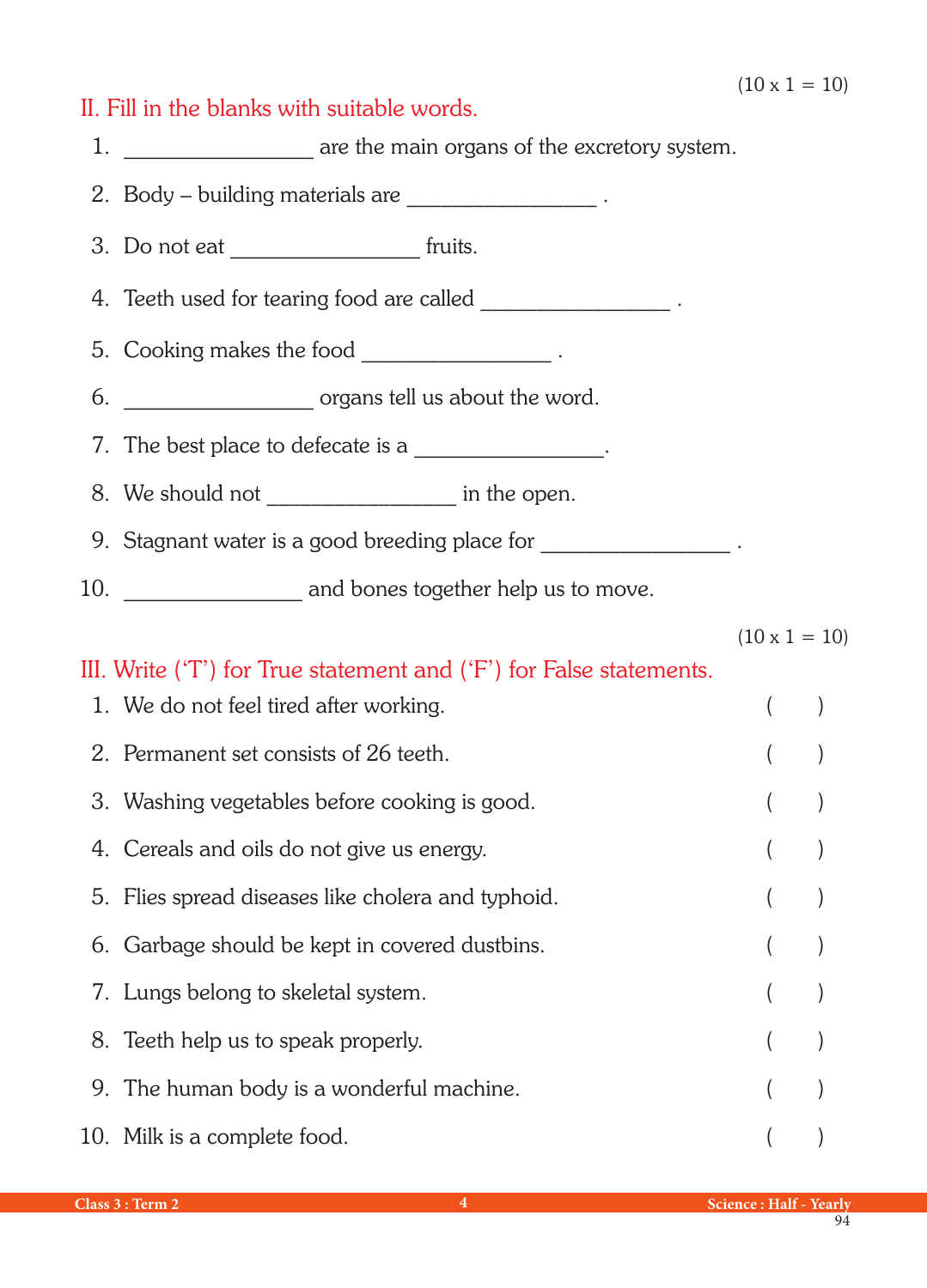## II. Fill in the blanks with suitable words.

1. **Example 20** are the main organs of the excretory system.

2. Body – building materials are \_\_\_\_\_\_\_\_\_\_\_\_\_\_\_\_\_\_\_\_\_\_.

3. Do not eat \_\_\_\_\_\_\_\_\_\_\_\_\_\_\_\_\_ fruits.

4. Teeth used for tearing food are called

- 5. Cooking makes the food \_\_\_\_\_\_\_\_\_\_\_\_\_\_\_\_\_\_\_\_\_\_.
- 6. \_\_\_\_\_\_\_\_\_\_\_\_\_\_\_\_\_ organs tell us about the word.

7. The best place to defecate is a

8. We should not \_\_\_\_\_\_\_\_\_\_\_\_\_\_\_\_\_\_\_\_\_\_\_ in the open.

9. Stagnant water is a good breeding place for  $\qquad \qquad$ .

10. \_\_\_\_\_\_\_\_\_\_\_\_\_\_\_\_\_\_ and bones together help us to move.

 $(10 \times 1 = 10)$ 

## III. Write ('T') for True statement and ('F') for False statements.

| 1. We do not feel tired after working.             |  |
|----------------------------------------------------|--|
| 2. Permanent set consists of 26 teeth.             |  |
| 3. Washing vegetables before cooking is good.      |  |
| 4. Cereals and oils do not give us energy.         |  |
| 5. Flies spread diseases like cholera and typhoid. |  |
| 6. Garbage should be kept in covered dustbins.     |  |
| 7. Lungs belong to skeletal system.                |  |
| 8. Teeth help us to speak properly.                |  |
| 9. The human body is a wonderful machine.          |  |
| 10. Milk is a complete food.                       |  |